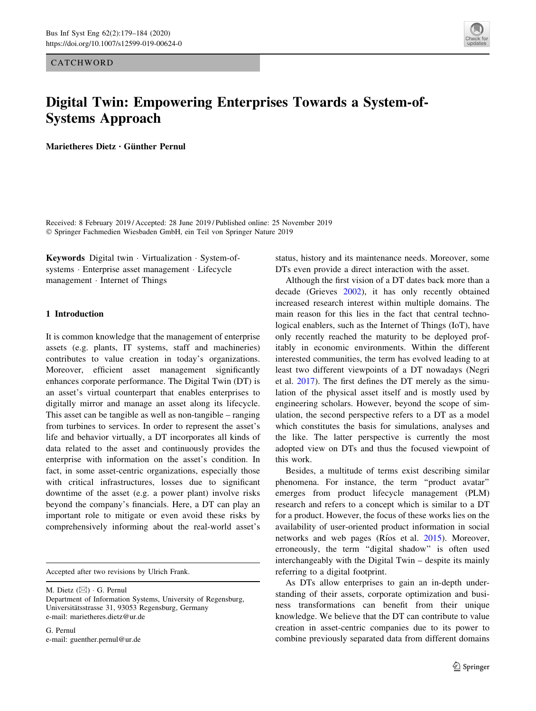**CATCHWORD** 



# Digital Twin: Empowering Enterprises Towards a System-of-Systems Approach

Marietheres Dietz · Günther Pernul

Received: 8 February 2019 / Accepted: 28 June 2019 / Published online: 25 November 2019 - Springer Fachmedien Wiesbaden GmbH, ein Teil von Springer Nature 2019

Keywords Digital twin - Virtualization - System-ofsystems - Enterprise asset management - Lifecycle management - Internet of Things

## 1 Introduction

It is common knowledge that the management of enterprise assets (e.g. plants, IT systems, staff and machineries) contributes to value creation in today's organizations. Moreover, efficient asset management significantly enhances corporate performance. The Digital Twin (DT) is an asset's virtual counterpart that enables enterprises to digitally mirror and manage an asset along its lifecycle. This asset can be tangible as well as non-tangible – ranging from turbines to services. In order to represent the asset's life and behavior virtually, a DT incorporates all kinds of data related to the asset and continuously provides the enterprise with information on the asset's condition. In fact, in some asset-centric organizations, especially those with critical infrastructures, losses due to significant downtime of the asset (e.g. a power plant) involve risks beyond the company's financials. Here, a DT can play an important role to mitigate or even avoid these risks by comprehensively informing about the real-world asset's

Accepted after two revisions by Ulrich Frank.

M. Dietz (&) - G. Pernul

G. Pernul e-mail: guenther.pernul@ur.de

status, history and its maintenance needs. Moreover, some DTs even provide a direct interaction with the asset.

Although the first vision of a DT dates back more than a decade (Grieves [2002\)](#page-5-0), it has only recently obtained increased research interest within multiple domains. The main reason for this lies in the fact that central technological enablers, such as the Internet of Things (IoT), have only recently reached the maturity to be deployed profitably in economic environments. Within the different interested communities, the term has evolved leading to at least two different viewpoints of a DT nowadays (Negri et al. [2017](#page-5-0)). The first defines the DT merely as the simulation of the physical asset itself and is mostly used by engineering scholars. However, beyond the scope of simulation, the second perspective refers to a DT as a model which constitutes the basis for simulations, analyses and the like. The latter perspective is currently the most adopted view on DTs and thus the focused viewpoint of this work.

Besides, a multitude of terms exist describing similar phenomena. For instance, the term ''product avatar'' emerges from product lifecycle management (PLM) research and refers to a concept which is similar to a DT for a product. However, the focus of these works lies on the availability of user-oriented product information in social networks and web pages (Ríos et al. [2015](#page-5-0)). Moreover, erroneously, the term ''digital shadow'' is often used interchangeably with the Digital Twin – despite its mainly referring to a digital footprint.

As DTs allow enterprises to gain an in-depth understanding of their assets, corporate optimization and business transformations can benefit from their unique knowledge. We believe that the DT can contribute to value creation in asset-centric companies due to its power to combine previously separated data from different domains

Department of Information Systems, University of Regensburg, Universitätsstrasse 31, 93053 Regensburg, Germany e-mail: marietheres.dietz@ur.de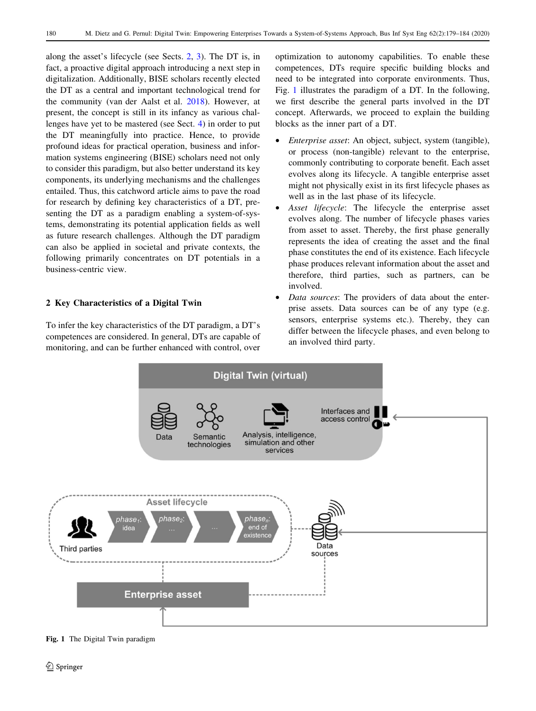<span id="page-1-0"></span>along the asset's lifecycle (see Sects. 2, [3](#page-2-0)). The DT is, in fact, a proactive digital approach introducing a next step in digitalization. Additionally, BISE scholars recently elected the DT as a central and important technological trend for the community (van der Aalst et al. [2018\)](#page-5-0). However, at present, the concept is still in its infancy as various challenges have yet to be mastered (see Sect. [4](#page-4-0)) in order to put the DT meaningfully into practice. Hence, to provide profound ideas for practical operation, business and information systems engineering (BISE) scholars need not only to consider this paradigm, but also better understand its key components, its underlying mechanisms and the challenges entailed. Thus, this catchword article aims to pave the road for research by defining key characteristics of a DT, presenting the DT as a paradigm enabling a system-of-systems, demonstrating its potential application fields as well as future research challenges. Although the DT paradigm can also be applied in societal and private contexts, the following primarily concentrates on DT potentials in a business-centric view.

## 2 Key Characteristics of a Digital Twin

To infer the key characteristics of the DT paradigm, a DT's competences are considered. In general, DTs are capable of monitoring, and can be further enhanced with control, over optimization to autonomy capabilities. To enable these competences, DTs require specific building blocks and need to be integrated into corporate environments. Thus, Fig. 1 illustrates the paradigm of a DT. In the following, we first describe the general parts involved in the DT concept. Afterwards, we proceed to explain the building blocks as the inner part of a DT.

- Enterprise asset: An object, subject, system (tangible), or process (non-tangible) relevant to the enterprise, commonly contributing to corporate benefit. Each asset evolves along its lifecycle. A tangible enterprise asset might not physically exist in its first lifecycle phases as well as in the last phase of its lifecycle.
- Asset lifecycle: The lifecycle the enterprise asset evolves along. The number of lifecycle phases varies from asset to asset. Thereby, the first phase generally represents the idea of creating the asset and the final phase constitutes the end of its existence. Each lifecycle phase produces relevant information about the asset and therefore, third parties, such as partners, can be involved.
- Data sources: The providers of data about the enterprise assets. Data sources can be of any type (e.g. sensors, enterprise systems etc.). Thereby, they can differ between the lifecycle phases, and even belong to an involved third party.



Fig. 1 The Digital Twin paradigm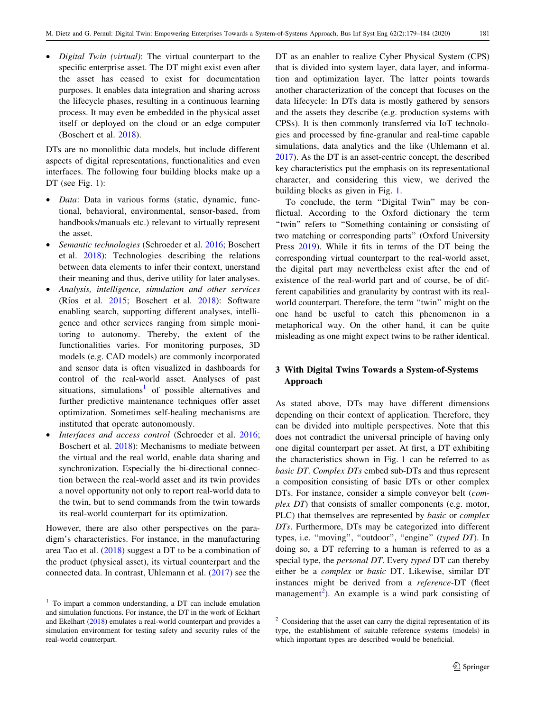<span id="page-2-0"></span>*Digital Twin (virtual)*: The virtual counterpart to the specific enterprise asset. The DT might exist even after the asset has ceased to exist for documentation purposes. It enables data integration and sharing across the lifecycle phases, resulting in a continuous learning process. It may even be embedded in the physical asset itself or deployed on the cloud or an edge computer (Boschert et al. [2018](#page-5-0)).

DTs are no monolithic data models, but include different aspects of digital representations, functionalities and even interfaces. The following four building blocks make up a DT (see Fig. [1](#page-1-0)):

- Data: Data in various forms (static, dynamic, functional, behavioral, environmental, sensor-based, from handbooks/manuals etc.) relevant to virtually represent the asset.
- Semantic technologies (Schroeder et al. [2016](#page-5-0); Boschert et al. [2018\)](#page-5-0): Technologies describing the relations between data elements to infer their context, unerstand their meaning and thus, derive utility for later analyses.
- Analysis, intelligence, simulation and other services (Rios et al.  $2015$ ; Boschert et al.  $2018$ ): Software enabling search, supporting different analyses, intelligence and other services ranging from simple monitoring to autonomy. Thereby, the extent of the functionalities varies. For monitoring purposes, 3D models (e.g. CAD models) are commonly incorporated and sensor data is often visualized in dashboards for control of the real-world asset. Analyses of past situations, simulations<sup>1</sup> of possible alternatives and further predictive maintenance techniques offer asset optimization. Sometimes self-healing mechanisms are instituted that operate autonomously.
- Interfaces and access control (Schroeder et al. [2016](#page-5-0); Boschert et al. [2018](#page-5-0)): Mechanisms to mediate between the virtual and the real world, enable data sharing and synchronization. Especially the bi-directional connection between the real-world asset and its twin provides a novel opportunity not only to report real-world data to the twin, but to send commands from the twin towards its real-world counterpart for its optimization.

However, there are also other perspectives on the paradigm's characteristics. For instance, in the manufacturing area Tao et al. [\(2018](#page-5-0)) suggest a DT to be a combination of the product (physical asset), its virtual counterpart and the connected data. In contrast, Uhlemann et al. [\(2017](#page-5-0)) see the DT as an enabler to realize Cyber Physical System (CPS) that is divided into system layer, data layer, and information and optimization layer. The latter points towards another characterization of the concept that focuses on the data lifecycle: In DTs data is mostly gathered by sensors and the assets they describe (e.g. production systems with CPSs). It is then commonly transferred via IoT technologies and processed by fine-granular and real-time capable simulations, data analytics and the like (Uhlemann et al. [2017](#page-5-0)). As the DT is an asset-centric concept, the described key characteristics put the emphasis on its representational character, and considering this view, we derived the building blocks as given in Fig. [1.](#page-1-0)

To conclude, the term "Digital Twin" may be conflictual. According to the Oxford dictionary the term ''twin'' refers to ''Something containing or consisting of two matching or corresponding parts'' (Oxford University Press [2019\)](#page-5-0). While it fits in terms of the DT being the corresponding virtual counterpart to the real-world asset, the digital part may nevertheless exist after the end of existence of the real-world part and of course, be of different capabilities and granularity by contrast with its realworld counterpart. Therefore, the term "twin" might on the one hand be useful to catch this phenomenon in a metaphorical way. On the other hand, it can be quite misleading as one might expect twins to be rather identical.

## 3 With Digital Twins Towards a System-of-Systems Approach

As stated above, DTs may have different dimensions depending on their context of application. Therefore, they can be divided into multiple perspectives. Note that this does not contradict the universal principle of having only one digital counterpart per asset. At first, a DT exhibiting the characteristics shown in Fig. [1](#page-1-0) can be referred to as basic DT. Complex DTs embed sub-DTs and thus represent a composition consisting of basic DTs or other complex DTs. For instance, consider a simple conveyor belt (complex DT) that consists of smaller components (e.g. motor, PLC) that themselves are represented by *basic* or *complex* DTs. Furthermore, DTs may be categorized into different types, i.e. "moving", "outdoor", "engine" (typed DT). In doing so, a DT referring to a human is referred to as a special type, the personal DT. Every typed DT can thereby either be a complex or basic DT. Likewise, similar DT instances might be derived from a reference-DT (fleet management<sup>2</sup>). An example is a wind park consisting of

 $\overline{1}$  To impart a common understanding, a DT can include emulation and simulation functions. For instance, the DT in the work of Eckhart and Ekelhart ([2018\)](#page-5-0) emulates a real-world counterpart and provides a simulation environment for testing safety and security rules of the real-world counterpart.

<sup>&</sup>lt;sup>2</sup> Considering that the asset can carry the digital representation of its type, the establishment of suitable reference systems (models) in which important types are described would be beneficial.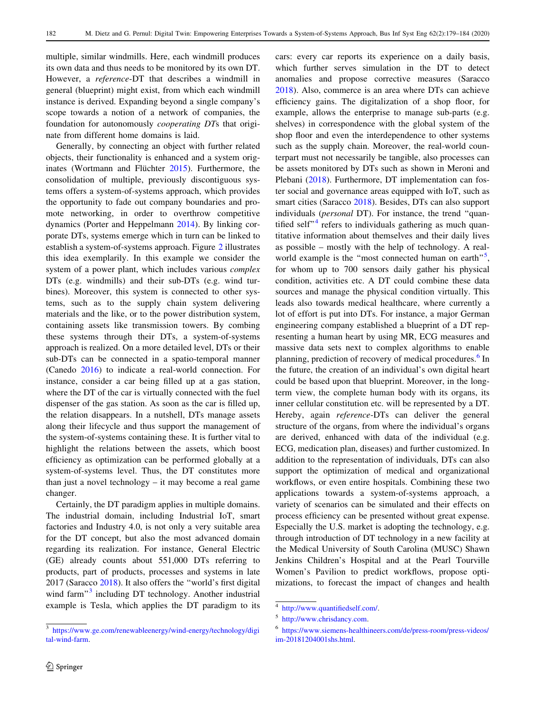multiple, similar windmills. Here, each windmill produces its own data and thus needs to be monitored by its own DT. However, a reference-DT that describes a windmill in general (blueprint) might exist, from which each windmill instance is derived. Expanding beyond a single company's scope towards a notion of a network of companies, the foundation for autonomously cooperating DTs that originate from different home domains is laid.

Generally, by connecting an object with further related objects, their functionality is enhanced and a system originates (Wortmann and Flüchter  $2015$ ). Furthermore, the consolidation of multiple, previously discontiguous systems offers a system-of-systems approach, which provides the opportunity to fade out company boundaries and promote networking, in order to overthrow competitive dynamics (Porter and Heppelmann [2014\)](#page-5-0). By linking corporate DTs, systems emerge which in turn can be linked to establish a system-of-systems approach. Figure [2](#page-4-0) illustrates this idea exemplarily. In this example we consider the system of a power plant, which includes various complex DTs (e.g. windmills) and their sub-DTs (e.g. wind turbines). Moreover, this system is connected to other systems, such as to the supply chain system delivering materials and the like, or to the power distribution system, containing assets like transmission towers. By combing these systems through their DTs, a system-of-systems approach is realized. On a more detailed level, DTs or their sub-DTs can be connected in a spatio-temporal manner (Canedo [2016\)](#page-5-0) to indicate a real-world connection. For instance, consider a car being filled up at a gas station, where the DT of the car is virtually connected with the fuel dispenser of the gas station. As soon as the car is filled up, the relation disappears. In a nutshell, DTs manage assets along their lifecycle and thus support the management of the system-of-systems containing these. It is further vital to highlight the relations between the assets, which boost efficiency as optimization can be performed globally at a system-of-systems level. Thus, the DT constitutes more than just a novel technology – it may become a real game changer.

Certainly, the DT paradigm applies in multiple domains. The industrial domain, including Industrial IoT, smart factories and Industry 4.0, is not only a very suitable area for the DT concept, but also the most advanced domain regarding its realization. For instance, General Electric (GE) already counts about 551,000 DTs referring to products, part of products, processes and systems in late 2017 (Saracco [2018\)](#page-5-0). It also offers the ''world's first digital wind farm"<sup>3</sup> including DT technology. Another industrial example is Tesla, which applies the DT paradigm to its cars: every car reports its experience on a daily basis, which further serves simulation in the DT to detect anomalies and propose corrective measures (Saracco [2018](#page-5-0)). Also, commerce is an area where DTs can achieve efficiency gains. The digitalization of a shop floor, for example, allows the enterprise to manage sub-parts (e.g. shelves) in correspondence with the global system of the shop floor and even the interdependence to other systems such as the supply chain. Moreover, the real-world counterpart must not necessarily be tangible, also processes can be assets monitored by DTs such as shown in Meroni and Plebani ([2018\)](#page-5-0). Furthermore, DT implementation can foster social and governance areas equipped with IoT, such as smart cities (Saracco [2018](#page-5-0)). Besides, DTs can also support individuals (personal DT). For instance, the trend "quantified self" $4$  refers to individuals gathering as much quantitative information about themselves and their daily lives as possible – mostly with the help of technology. A realworld example is the "most connected human on earth"<sup>5</sup>, for whom up to 700 sensors daily gather his physical condition, activities etc. A DT could combine these data sources and manage the physical condition virtually. This leads also towards medical healthcare, where currently a lot of effort is put into DTs. For instance, a major German engineering company established a blueprint of a DT representing a human heart by using MR, ECG measures and massive data sets next to complex algorithms to enable planning, prediction of recovery of medical procedures.<sup>6</sup> In the future, the creation of an individual's own digital heart could be based upon that blueprint. Moreover, in the longterm view, the complete human body with its organs, its inner cellular constitution etc. will be represented by a DT. Hereby, again reference-DTs can deliver the general structure of the organs, from where the individual's organs are derived, enhanced with data of the individual (e.g. ECG, medication plan, diseases) and further customized. In addition to the representation of individuals, DTs can also support the optimization of medical and organizational workflows, or even entire hospitals. Combining these two applications towards a system-of-systems approach, a variety of scenarios can be simulated and their effects on process efficiency can be presented without great expense. Especially the U.S. market is adopting the technology, e.g. through introduction of DT technology in a new facility at the Medical University of South Carolina (MUSC) Shawn Jenkins Children's Hospital and at the Pearl Tourville Women's Pavilion to predict workflows, propose optimizations, to forecast the impact of changes and health

<sup>3</sup> [https://www.ge.com/renewableenergy/wind-energy/technology/digi](https://www.ge.com/renewableenergy/wind-energy/technology/digital-wind-farm) [tal-wind-farm](https://www.ge.com/renewableenergy/wind-energy/technology/digital-wind-farm).

<sup>4</sup> [http://www.quantifiedself.com/.](http://www.quantifiedself.com/)

<sup>5</sup> [http://www.chrisdancy.com.](http://www.chrisdancy.com)

<sup>6</sup> [https://www.siemens-healthineers.com/de/press-room/press-videos/](https://www.siemens-healthineers.com/de/press-room/press-videos/im-20181204001shs.html) [im-20181204001shs.html](https://www.siemens-healthineers.com/de/press-room/press-videos/im-20181204001shs.html).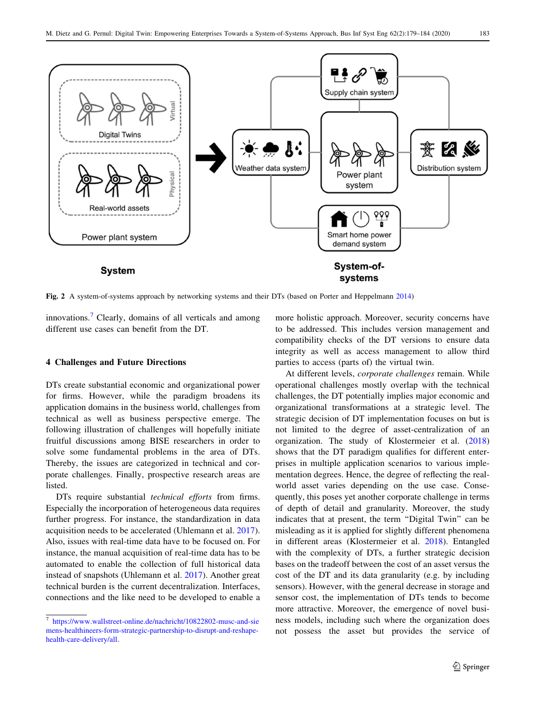<span id="page-4-0"></span>

Fig. 2 A system-of-systems approach by networking systems and their DTs (based on Porter and Heppelmann [2014](#page-5-0))

innovations.<sup>7</sup> Clearly, domains of all verticals and among different use cases can benefit from the DT.

### 4 Challenges and Future Directions

DTs create substantial economic and organizational power for firms. However, while the paradigm broadens its application domains in the business world, challenges from technical as well as business perspective emerge. The following illustration of challenges will hopefully initiate fruitful discussions among BISE researchers in order to solve some fundamental problems in the area of DTs. Thereby, the issues are categorized in technical and corporate challenges. Finally, prospective research areas are listed.

DTs require substantial *technical efforts* from firms. Especially the incorporation of heterogeneous data requires further progress. For instance, the standardization in data acquisition needs to be accelerated (Uhlemann et al. [2017](#page-5-0)). Also, issues with real-time data have to be focused on. For instance, the manual acquisition of real-time data has to be automated to enable the collection of full historical data instead of snapshots (Uhlemann et al. [2017](#page-5-0)). Another great technical burden is the current decentralization. Interfaces, connections and the like need to be developed to enable a more holistic approach. Moreover, security concerns have to be addressed. This includes version management and compatibility checks of the DT versions to ensure data integrity as well as access management to allow third parties to access (parts of) the virtual twin.

At different levels, corporate challenges remain. While operational challenges mostly overlap with the technical challenges, the DT potentially implies major economic and organizational transformations at a strategic level. The strategic decision of DT implementation focuses on but is not limited to the degree of asset-centralization of an organization. The study of Klostermeier et al. ([2018\)](#page-5-0) shows that the DT paradigm qualifies for different enterprises in multiple application scenarios to various implementation degrees. Hence, the degree of reflecting the realworld asset varies depending on the use case. Consequently, this poses yet another corporate challenge in terms of depth of detail and granularity. Moreover, the study indicates that at present, the term "Digital Twin" can be misleading as it is applied for slightly different phenomena in different areas (Klostermeier et al. [2018](#page-5-0)). Entangled with the complexity of DTs, a further strategic decision bases on the tradeoff between the cost of an asset versus the cost of the DT and its data granularity (e.g. by including sensors). However, with the general decrease in storage and sensor cost, the implementation of DTs tends to become more attractive. Moreover, the emergence of novel business models, including such where the organization does not possess the asset but provides the service of

<sup>7</sup> [https://www.wallstreet-online.de/nachricht/10822802-musc-and-sie](https://www.wallstreet-online.de/nachricht/10822802-musc-and-siemens-healthineers-form-strategic-partnership-to-disrupt-and-reshape-health-care-delivery/all) [mens-healthineers-form-strategic-partnership-to-disrupt-and-reshape](https://www.wallstreet-online.de/nachricht/10822802-musc-and-siemens-healthineers-form-strategic-partnership-to-disrupt-and-reshape-health-care-delivery/all)[health-care-delivery/all.](https://www.wallstreet-online.de/nachricht/10822802-musc-and-siemens-healthineers-form-strategic-partnership-to-disrupt-and-reshape-health-care-delivery/all)